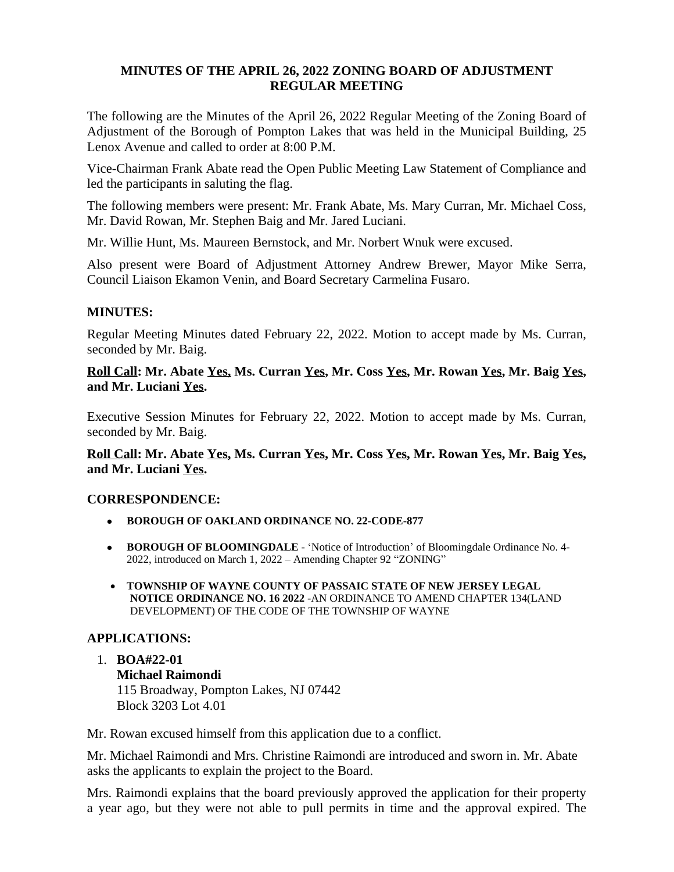## **MINUTES OF THE APRIL 26, 2022 ZONING BOARD OF ADJUSTMENT REGULAR MEETING**

The following are the Minutes of the April 26, 2022 Regular Meeting of the Zoning Board of Adjustment of the Borough of Pompton Lakes that was held in the Municipal Building, 25 Lenox Avenue and called to order at 8:00 P.M.

Vice-Chairman Frank Abate read the Open Public Meeting Law Statement of Compliance and led the participants in saluting the flag.

The following members were present: Mr. Frank Abate, Ms. Mary Curran, Mr. Michael Coss, Mr. David Rowan, Mr. Stephen Baig and Mr. Jared Luciani.

Mr. Willie Hunt, Ms. Maureen Bernstock, and Mr. Norbert Wnuk were excused.

Also present were Board of Adjustment Attorney Andrew Brewer, Mayor Mike Serra, Council Liaison Ekamon Venin, and Board Secretary Carmelina Fusaro.

## **MINUTES:**

Regular Meeting Minutes dated February 22, 2022. Motion to accept made by Ms. Curran, seconded by Mr. Baig.

## **Roll Call: Mr. Abate Yes, Ms. Curran Yes, Mr. Coss Yes, Mr. Rowan Yes, Mr. Baig Yes, and Mr. Luciani Yes.**

Executive Session Minutes for February 22, 2022. Motion to accept made by Ms. Curran, seconded by Mr. Baig.

## **Roll Call: Mr. Abate Yes, Ms. Curran Yes, Mr. Coss Yes, Mr. Rowan Yes, Mr. Baig Yes, and Mr. Luciani Yes.**

### **CORRESPONDENCE:**

- **BOROUGH OF OAKLAND ORDINANCE NO. 22-CODE-877**
- **BOROUGH OF BLOOMINGDALE** 'Notice of Introduction' of Bloomingdale Ordinance No. 4-2022, introduced on March 1, 2022 – Amending Chapter 92 "ZONING"
- **TOWNSHIP OF WAYNE COUNTY OF PASSAIC STATE OF NEW JERSEY LEGAL NOTICE ORDINANCE NO. 16 2022** -AN ORDINANCE TO AMEND CHAPTER 134(LAND DEVELOPMENT) OF THE CODE OF THE TOWNSHIP OF WAYNE

### **APPLICATIONS:**

# 1. **BOA#22-01 Michael Raimondi** 115 Broadway, Pompton Lakes, NJ 07442 Block 3203 Lot 4.01

Mr. Rowan excused himself from this application due to a conflict.

Mr. Michael Raimondi and Mrs. Christine Raimondi are introduced and sworn in. Mr. Abate asks the applicants to explain the project to the Board.

Mrs. Raimondi explains that the board previously approved the application for their property a year ago, but they were not able to pull permits in time and the approval expired. The